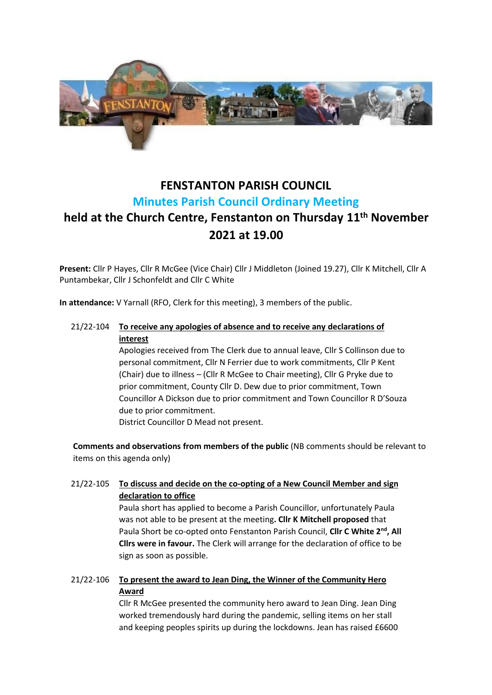

# **FENSTANTON PARISH COUNCIL Minutes Parish Council Ordinary Meeting**

# **held at the Church Centre, Fenstanton on Thursday 11 th November 2021 at 19.00**

**Present:** Cllr P Hayes, Cllr R McGee (Vice Chair) Cllr J Middleton (Joined 19.27), Cllr K Mitchell, Cllr A Puntambekar, Cllr J Schonfeldt and Cllr C White

**In attendance:** V Yarnall (RFO, Clerk for this meeting), 3 members of the public.

# 21/22-104 **To receive any apologies of absence and to receive any declarations of interest**

Apologies received from The Clerk due to annual leave, Cllr S Collinson due to personal commitment, Cllr N Ferrier due to work commitments, Cllr P Kent (Chair) due to illness – (Cllr R McGee to Chair meeting), Cllr G Pryke due to prior commitment, County Cllr D. Dew due to prior commitment, Town Councillor A Dickson due to prior commitment and Town Councillor R D'Souza due to prior commitment.

District Councillor D Mead not present.

**Comments and observations from members of the public** (NB comments should be relevant to items on this agenda only)

21/22-105 **To discuss and decide on the co-opting of a New Council Member and sign declaration to office**

> Paula short has applied to become a Parish Councillor, unfortunately Paula was not able to be present at the meeting**. Cllr K Mitchell proposed** that Paula Short be co-opted onto Fenstanton Parish Council, **Cllr C White 2nd, All Cllrs were in favour.** The Clerk will arrange for the declaration of office to be sign as soon as possible.

21/22-106 **To present the award to Jean Ding, the Winner of the Community Hero Award**

> Cllr R McGee presented the community hero award to Jean Ding. Jean Ding worked tremendously hard during the pandemic, selling items on her stall and keeping peoples spirits up during the lockdowns. Jean has raised £6600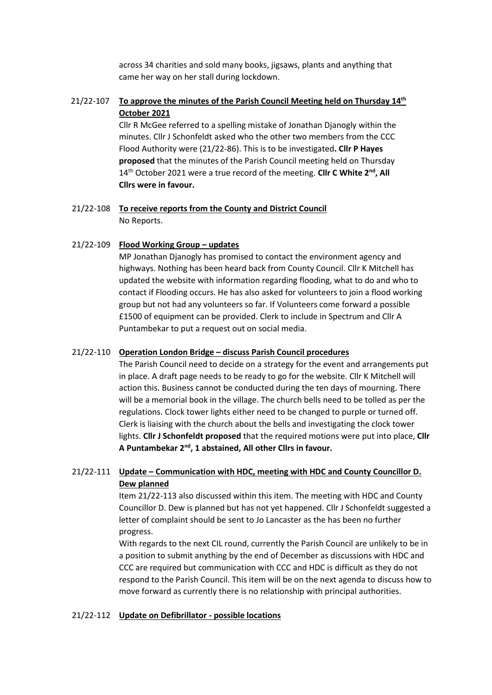across 34 charities and sold many books, jigsaws, plants and anything that came her way on her stall during lockdown.

# 21/22-107 **To approve the minutes of the Parish Council Meeting held on Thursday 14th October 2021**

Cllr R McGee referred to a spelling mistake of Jonathan Djanogly within the minutes. Cllr J Schonfeldt asked who the other two members from the CCC Flood Authority were (21/22-86). This is to be investigated**. Cllr P Hayes proposed** that the minutes of the Parish Council meeting held on Thursday 14th October 2021 were a true record of the meeting. **Cllr C White 2nd, All Cllrs were in favour.**

 21/22-108 **To receive reports from the County and District Council** No Reports.

#### 21/22-109 **Flood Working Group – updates**

MP Jonathan Djanogly has promised to contact the environment agency and highways. Nothing has been heard back from County Council. Cllr K Mitchell has updated the website with information regarding flooding, what to do and who to contact if Flooding occurs. He has also asked for volunteers to join a flood working group but not had any volunteers so far. If Volunteers come forward a possible £1500 of equipment can be provided. Clerk to include in Spectrum and Cllr A Puntambekar to put a request out on social media.

#### 21/22-110 **Operation London Bridge – discuss Parish Council procedures**

The Parish Council need to decide on a strategy for the event and arrangements put in place. A draft page needs to be ready to go for the website. Cllr K Mitchell will action this. Business cannot be conducted during the ten days of mourning. There will be a memorial book in the village. The church bells need to be tolled as per the regulations. Clock tower lights either need to be changed to purple or turned off. Clerk is liaising with the church about the bells and investigating the clock tower lights. **Cllr J Schonfeldt proposed** that the required motions were put into place, **Cllr**  A Puntambekar 2<sup>nd</sup>, 1 abstained, All other Cllrs in favour.

### 21/22-111 **Update – Communication with HDC, meeting with HDC and County Councillor D. Dew planned**

Item 21/22-113 also discussed within this item. The meeting with HDC and County Councillor D. Dew is planned but has not yet happened. Cllr J Schonfeldt suggested a letter of complaint should be sent to Jo Lancaster as the has been no further progress.

With regards to the next CIL round, currently the Parish Council are unlikely to be in a position to submit anything by the end of December as discussions with HDC and CCC are required but communication with CCC and HDC is difficult as they do not respond to the Parish Council. This item will be on the next agenda to discuss how to move forward as currently there is no relationship with principal authorities.

#### 21/22-112 **Update on Defibrillator - possible locations**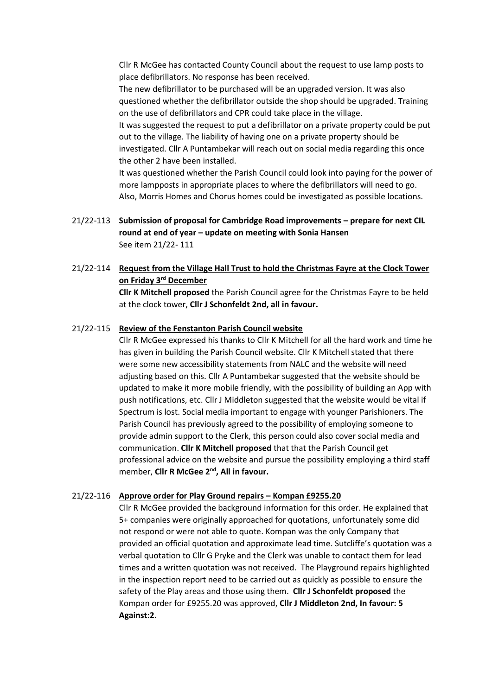Cllr R McGee has contacted County Council about the request to use lamp posts to place defibrillators. No response has been received.

The new defibrillator to be purchased will be an upgraded version. It was also questioned whether the defibrillator outside the shop should be upgraded. Training on the use of defibrillators and CPR could take place in the village.

It was suggested the request to put a defibrillator on a private property could be put out to the village. The liability of having one on a private property should be investigated. Cllr A Puntambekar will reach out on social media regarding this once the other 2 have been installed.

It was questioned whether the Parish Council could look into paying for the power of more lampposts in appropriate places to where the defibrillators will need to go. Also, Morris Homes and Chorus homes could be investigated as possible locations.

# 21/22-113 **Submission of proposal for Cambridge Road improvements – prepare for next CIL round at end of year – update on meeting with Sonia Hansen** See item 21/22- 111

# 21/22-114 **Request from the Village Hall Trust to hold the Christmas Fayre at the Clock Tower on Friday 3rd December**

**Cllr K Mitchell proposed** the Parish Council agree for the Christmas Fayre to be held at the clock tower, **Cllr J Schonfeldt 2nd, all in favour.**

#### 21/22-115 **Review of the Fenstanton Parish Council website**

Cllr R McGee expressed his thanks to Cllr K Mitchell for all the hard work and time he has given in building the Parish Council website. Cllr K Mitchell stated that there were some new accessibility statements from NALC and the website will need adjusting based on this. Cllr A Puntambekar suggested that the website should be updated to make it more mobile friendly, with the possibility of building an App with push notifications, etc. Cllr J Middleton suggested that the website would be vital if Spectrum is lost. Social media important to engage with younger Parishioners. The Parish Council has previously agreed to the possibility of employing someone to provide admin support to the Clerk, this person could also cover social media and communication. **Cllr K Mitchell proposed** that that the Parish Council get professional advice on the website and pursue the possibility employing a third staff member, **Cllr R McGee 2nd, All in favour.**

#### 21/22-116 **Approve order for Play Ground repairs – Kompan £9255.20**

Cllr R McGee provided the background information for this order. He explained that 5+ companies were originally approached for quotations, unfortunately some did not respond or were not able to quote. Kompan was the only Company that provided an official quotation and approximate lead time. Sutcliffe's quotation was a verbal quotation to Cllr G Pryke and the Clerk was unable to contact them for lead times and a written quotation was not received. The Playground repairs highlighted in the inspection report need to be carried out as quickly as possible to ensure the safety of the Play areas and those using them. **Cllr J Schonfeldt proposed** the Kompan order for £9255.20 was approved, **Cllr J Middleton 2nd, In favour: 5 Against:2.**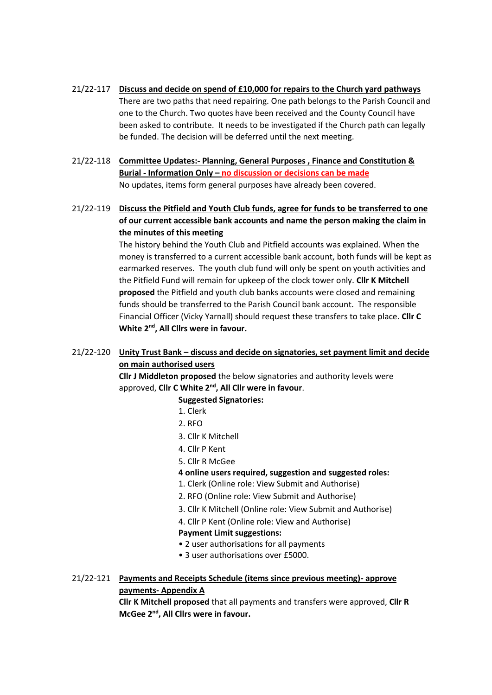- 21/22-117 **Discuss and decide on spend of £10,000 for repairs to the Church yard pathways** There are two paths that need repairing. One path belongs to the Parish Council and one to the Church. Two quotes have been received and the County Council have been asked to contribute. It needs to be investigated if the Church path can legally be funded. The decision will be deferred until the next meeting.
- 21/22-118 **Committee Updates:- Planning, General Purposes , Finance and Constitution & Burial - Information Only – no discussion or decisions can be made** No updates, items form general purposes have already been covered.
- 21/22-119 **Discuss the Pitfield and Youth Club funds, agree for funds to be transferred to one of our current accessible bank accounts and name the person making the claim in the minutes of this meeting**

The history behind the Youth Club and Pitfield accounts was explained. When the money is transferred to a current accessible bank account, both funds will be kept as earmarked reserves. The youth club fund will only be spent on youth activities and the Pitfield Fund will remain for upkeep of the clock tower only. **Cllr K Mitchell proposed** the Pitfield and youth club banks accounts were closed and remaining funds should be transferred to the Parish Council bank account. The responsible Financial Officer (Vicky Yarnall) should request these transfers to take place. **Cllr C White 2nd , All Cllrs were in favour.**

# 21/22-120 **Unity Trust Bank – discuss and decide on signatories, set payment limit and decide on main authorised users**

**Cllr J Middleton proposed** the below signatories and authority levels were approved, **Cllr C White 2nd , All Cllr were in favour**.

# **Suggested Signatories:**

- 1. Clerk
- 2. RFO
- 3. Cllr K Mitchell
- 4. Cllr P Kent
- 5. Cllr R McGee

# **4 online users required, suggestion and suggested roles:**

- 1. Clerk (Online role: View Submit and Authorise)
- 2. RFO (Online role: View Submit and Authorise)
- 3. Cllr K Mitchell (Online role: View Submit and Authorise)
- 4. Cllr P Kent (Online role: View and Authorise)

# **Payment Limit suggestions:**

- 2 user authorisations for all payments
- 3 user authorisations over £5000.

# 21/22-121 **Payments and Receipts Schedule (items since previous meeting)- approve payments- Appendix A**

**Cllr K Mitchell proposed** that all payments and transfers were approved, **Cllr R McGee 2nd , All Cllrs were in favour.**